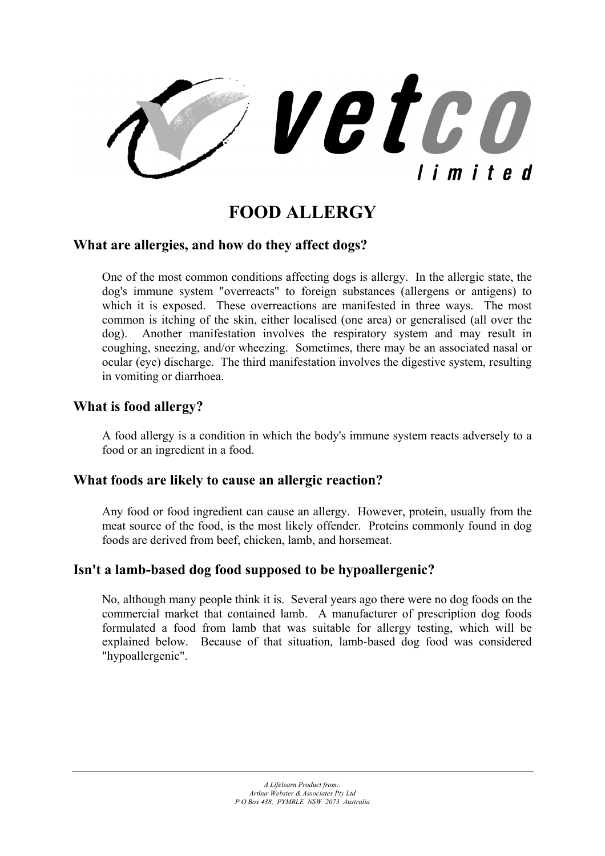

# **FOOD ALLERGY**

### **What are allergies, and how do they affect dogs?**

One of the most common conditions affecting dogs is allergy. In the allergic state, the dog's immune system "overreacts" to foreign substances (allergens or antigens) to which it is exposed. These overreactions are manifested in three ways. The most common is itching of the skin, either localised (one area) or generalised (all over the dog). Another manifestation involves the respiratory system and may result in coughing, sneezing, and/or wheezing. Sometimes, there may be an associated nasal or ocular (eye) discharge. The third manifestation involves the digestive system, resulting in vomiting or diarrhoea.

### **What is food allergy?**

A food allergy is a condition in which the body's immune system reacts adversely to a food or an ingredient in a food.

#### **What foods are likely to cause an allergic reaction?**

Any food or food ingredient can cause an allergy. However, protein, usually from the meat source of the food, is the most likely offender. Proteins commonly found in dog foods are derived from beef, chicken, lamb, and horsemeat.

## **Isn't a lamb-based dog food supposed to be hypoallergenic?**

No, although many people think it is. Several years ago there were no dog foods on the commercial market that contained lamb. A manufacturer of prescription dog foods formulated a food from lamb that was suitable for allergy testing, which will be explained below. Because of that situation, lamb-based dog food was considered "hypoallergenic".